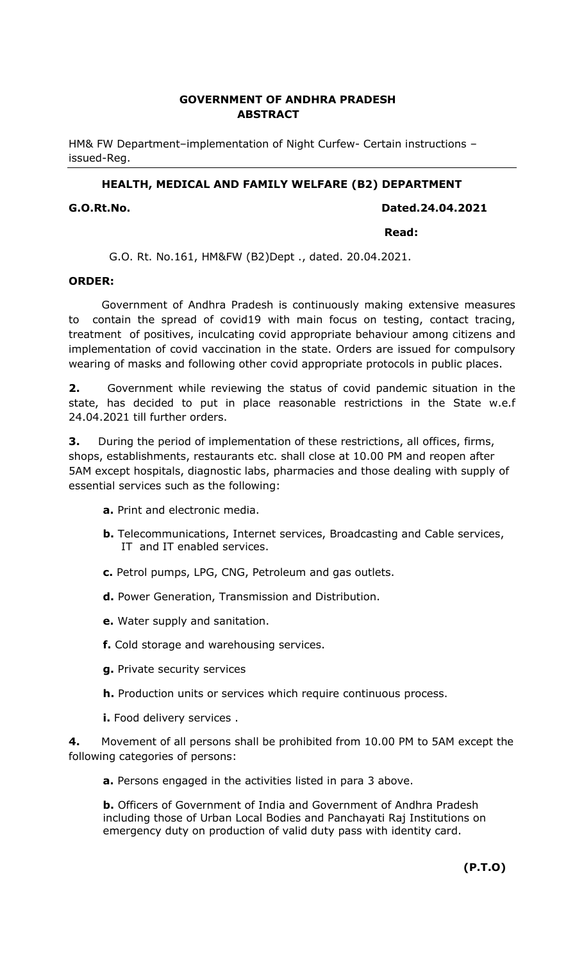# GOVERNMENT OF ANDHRA PRADESH ABSTRACT

HM& FW Department–implementation of Night Curfew- Certain instructions – issued-Reg.

## HEALTH, MEDICAL AND FAMILY WELFARE (B2) DEPARTMENT

#### G.O.Rt.No. Dated.24.04.2021

#### **Read:** The contract of the contract of the contract of the contract of the contract of the contract of the contract of the contract of the contract of the contract of the contract of the contract of the contract of the co

G.O. Rt. No.161, HM&FW (B2)Dept ., dated. 20.04.2021.

#### ORDER:

 Government of Andhra Pradesh is continuously making extensive measures to contain the spread of covid19 with main focus on testing, contact tracing, treatment of positives, inculcating covid appropriate behaviour among citizens and implementation of covid vaccination in the state. Orders are issued for compulsory wearing of masks and following other covid appropriate protocols in public places.

**2.** Government while reviewing the status of covid pandemic situation in the state, has decided to put in place reasonable restrictions in the State w.e.f 24.04.2021 till further orders.

**3.** During the period of implementation of these restrictions, all offices, firms, shops, establishments, restaurants etc. shall close at 10.00 PM and reopen after 5AM except hospitals, diagnostic labs, pharmacies and those dealing with supply of essential services such as the following:

- a. Print and electronic media.
- b. Telecommunications, Internet services, Broadcasting and Cable services, IT and IT enabled services.
- c. Petrol pumps, LPG, CNG, Petroleum and gas outlets.
- d. Power Generation, Transmission and Distribution.
- e. Water supply and sanitation.
- f. Cold storage and warehousing services.
- g. Private security services
- h. Production units or services which require continuous process.
- i. Food delivery services .

**4.** Movement of all persons shall be prohibited from 10.00 PM to 5AM except the following categories of persons:

a. Persons engaged in the activities listed in para 3 above.

**b.** Officers of Government of India and Government of Andhra Pradesh including those of Urban Local Bodies and Panchayati Raj Institutions on emergency duty on production of valid duty pass with identity card.